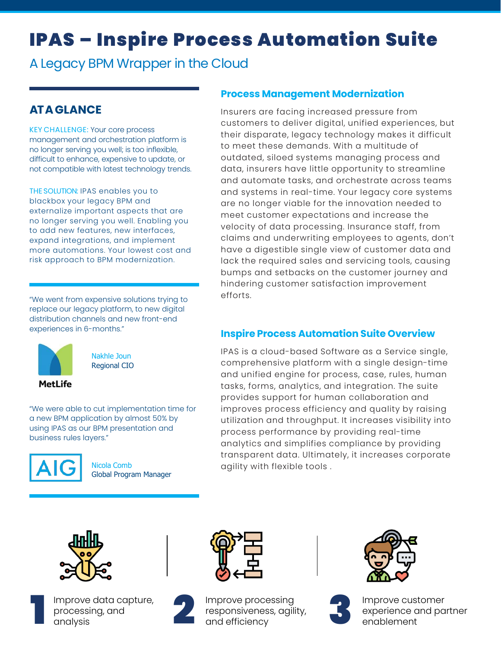# IPAS – Inspire Process Automation Suite

A Legacy BPM Wrapper in the Cloud

# **ATA GLANCE**

KEY CHALLENGE: Your core process management and orchestration platform is no longer serving you well; is too inflexible, difficult to enhance, expensive to update, or not compatible with latest technology trends.

THE SOLUTION: IPAS enables you to blackbox your legacy BPM and externalize important aspects that are no longer serving you well. Enabling you to add new features, new interfaces, expand integrations, and implement more automations. Your lowest cost and risk approach to BPM modernization.

"We went from expensive solutions trying to replace our legacy platform, to new digital distribution channels and new front-end experiences in 6-months."



Nakhle Joun Regional CIO

**MetLife** 

"We were able to cut implementation time for a new BPM application by almost 50% by using IPAS as our BPM presentation and business rules layers."



Nicola Comb Global Program Manager

### **Process Management Modernization**

Insurers are facing increased pressure from customers to deliver digital, unified experiences, but their disparate, legacy technology makes it difficult to meet these demands. With a multitude of outdated, siloed systems managing process and data, insurers have little opportunity to streamline and automate tasks, and orchestrate across teams and systems in real-time. Your legacy core systems are no longer viable for the innovation needed to meet customer expectations and increase the velocity of data processing. Insurance staff, from claims and underwriting employees to agents, don't have a digestible single view of customer data and lack the required sales and servicing tools, causing bumps and setbacks on the customer journey and hindering customer satisfaction improvement efforts.

### **Inspire Process Automation Suite Overview**

IPAS is a cloud-based Software as a Service single, comprehensive platform with a single design-time and unified engine for process, case, rules, human tasks, forms, analytics, and integration. The suite provides support for human collaboration and improves process efficiency and quality by raising utilization and throughput. It increases visibility into process performance by providing real-time analytics and simplifies compliance by providing transparent data. Ultimately, it increases corporate agility with flexible tools .





Improve data capture,<br>processing, and<br>analysis processing, and



Improve processing responsiveness, agility, Improve processing<br>responsiveness, agility,<br>and efficiency





Improve customer experience and partner enablement